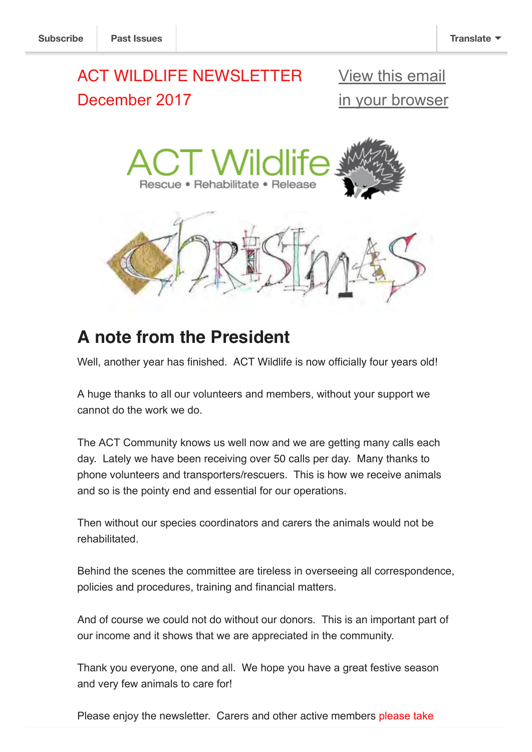# ACT WILDLIFE NEWSLETTER December 2017

View this email [in your browser](http://mailchi.mp/5b2bdaab3a2d/act-wildlife-newsletter-january-2018?e=[UNIQID])



# **A note from the President**

Well, another year has finished. ACT Wildlife is now officially four years old!

A huge thanks to all our volunteers and members, without your support we cannot do the work we do.

The ACT Community knows us well now and we are getting many calls each day. Lately we have been receiving over 50 calls per day. Many thanks to phone volunteers and transporters/rescuers. This is how we receive animals and so is the pointy end and essential for our operations.

Then without our species coordinators and carers the animals would not be rehabilitated.

Behind the scenes the committee are tireless in overseeing all correspondence, policies and procedures, training and financial matters.

And of course we could not do without our donors. This is an important part of our income and it shows that we are appreciated in the community.

Thank you everyone, one and all. We hope you have a great festive season and very few animals to care for!

Please enjoy the newsletter. Carers and other active members please take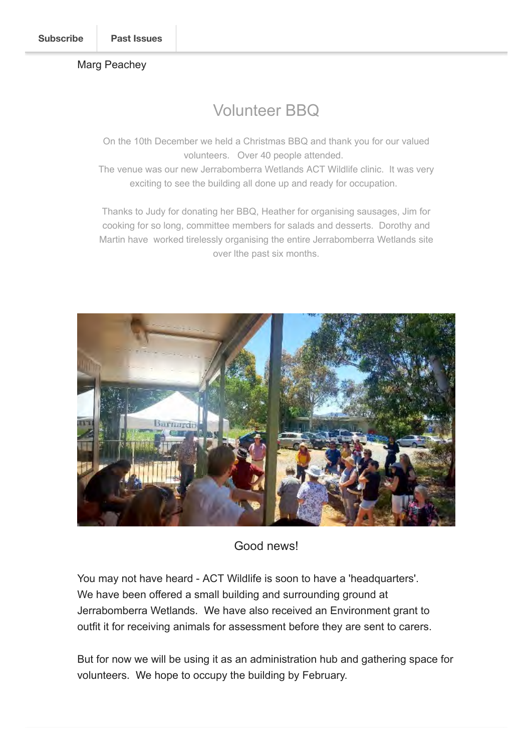### Marg Peachey

## Volunteer BBQ

On the 10th December we held a Christmas BBQ and thank you for our valued volunteers. Over 40 people attended.

The venue was our new Jerrabomberra Wetlands ACT Wildlife clinic. It was very exciting to see the building all done up and ready for occupation.

Thanks to Judy for donating her BBQ, Heather for organising sausages, Jim for cooking for so long, committee members for salads and desserts. Dorothy and Martin have worked tirelessly organising the entire Jerrabomberra Wetlands site over lthe past six months.



## Good news!

You may not have heard - ACT Wildlife is soon to have a 'headquarters'. We have been offered a small building and surrounding ground at Jerrabomberra Wetlands. We have also received an Environment grant to outfit it for receiving animals for assessment before they are sent to carers.

But for now we will be using it as an administration hub and gathering space for volunteers. We hope to occupy the building by February.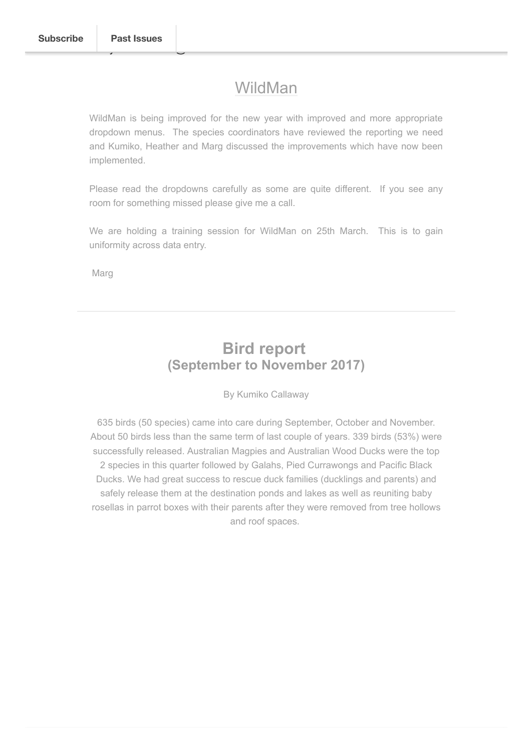## WildMan

WildMan is being improved for the new year with improved and more appropriate dropdown menus. The species coordinators have reviewed the reporting we need and Kumiko, Heather and Marg discussed the improvements which have now been implemented.

Please read the dropdowns carefully as some are quite different. If you see any room for something missed please give me a call.

We are holding a training session for WildMan on 25th March. This is to gain uniformity across data entry.

Marg

## **Bird report (September to November 2017)**

By Kumiko Callaway

635 birds (50 species) came into care during September, October and November. About 50 birds less than the same term of last couple of years. 339 birds (53%) were successfully released. Australian Magpies and Australian Wood Ducks were the top 2 species in this quarter followed by Galahs, Pied Currawongs and Pacific Black Ducks. We had great success to rescue duck families (ducklings and parents) and safely release them at the destination ponds and lakes as well as reuniting baby rosellas in parrot boxes with their parents after they were removed from tree hollows and roof spaces.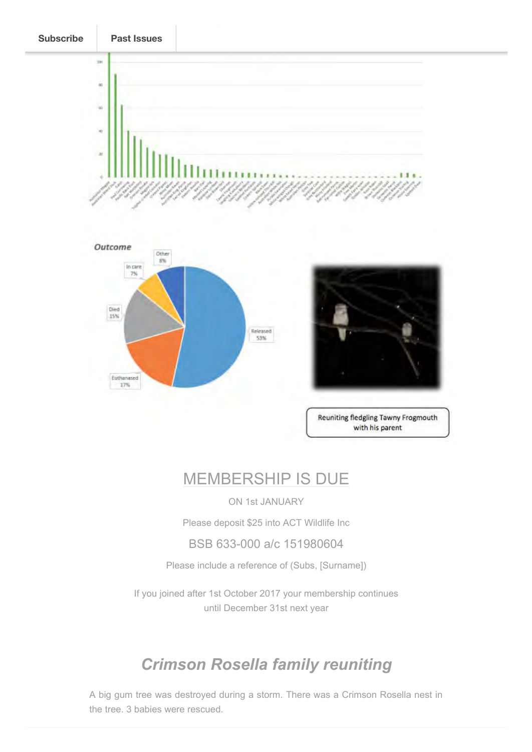



Reuniting fledgling Tawny Frogmouth with his parent

## MEMBERSHIP IS DUE

ON 1st JANUARY

Please deposit \$25 into ACT Wildlife Inc

BSB 633-000 a/c 151980604

Please include a reference of (Subs, [Surname])

If you joined after 1st October 2017 your membership continues until December 31st next year

## *Crimson Rosella family reuniting*

A big gum tree was destroyed during a storm. There was a Crimson Rosella nest in the tree. 3 babies were rescued.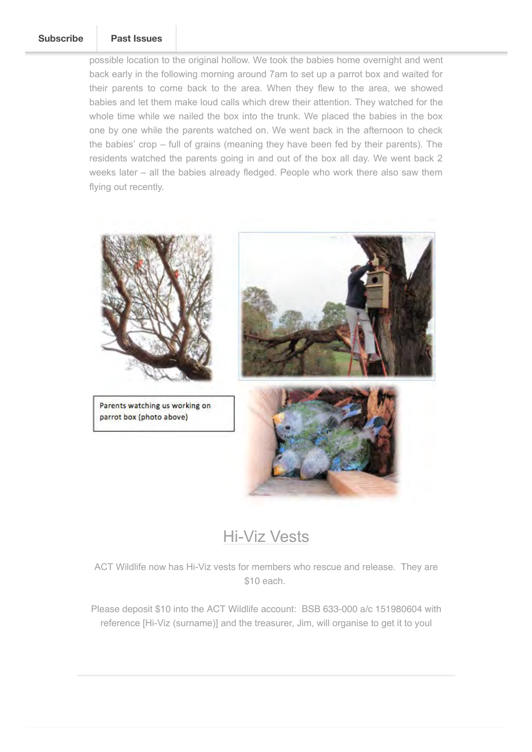#### We visit the site on the day and planned where the day and planned where to put up a part of put up a part of **[Subscribe](http://eepurl.com/df5NsT) Past Issues**

possible location to the original hollow. We took the babies home overnight and went back early in the following morning around 7am to set up a parrot box and waited for their parents to come back to the area. When they flew to the area, we showed babies and let them make loud calls which drew their attention. They watched for the whole time while we nailed the box into the trunk. We placed the babies in the box one by one while the parents watched on. We went back in the afternoon to check the babies' crop – full of grains (meaning they have been fed by their parents). The residents watched the parents going in and out of the box all day. We went back 2 weeks later – all the babies already fledged. People who work there also saw them flying out recently.



## Hi-Viz Vests

ACT Wildlife now has Hi-Viz vests for members who rescue and release. They are \$10 each.

Please deposit \$10 into the ACT Wildlife account: BSB 633-000 a/c 151980604 with reference [Hi-Viz (surname)] and the treasurer, Jim, will organise to get it to youl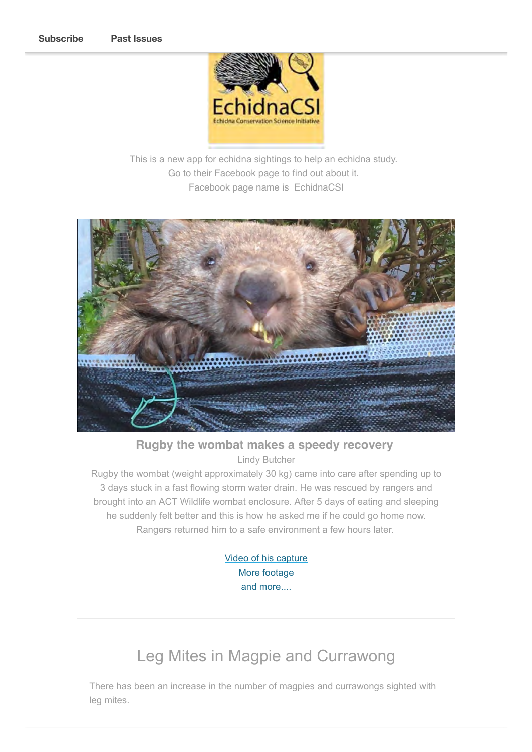

This is a new app for echidna sightings to help an echidna study. Go to their Facebook page to find out about it. Facebook page name is EchidnaCSI



**Rugby the wombat makes a speedy recovery**  Lindy Butcher

Rugby the wombat (weight approximately 30 kg) came into care after spending up to 3 days stuck in a fast flowing storm water drain. He was rescued by rangers and brought into an ACT Wildlife wombat enclosure. After 5 days of eating and sleeping he suddenly felt better and this is how he asked me if he could go home now. Rangers returned him to a safe environment a few hours later.

> [Video of his capture](https://www.facebook.com/ACTParks/videos/1851225408521114/) M[ore footage](https://www.youtube.com/watch?v=uHFrdqC6_ZA&feature=youtu.be) [and more....](https://youtu.be/mamlR19WeUg)

# Leg Mites in Magpie and Currawong

There has been an increase in the number of magpies and currawongs sighted with leg mites.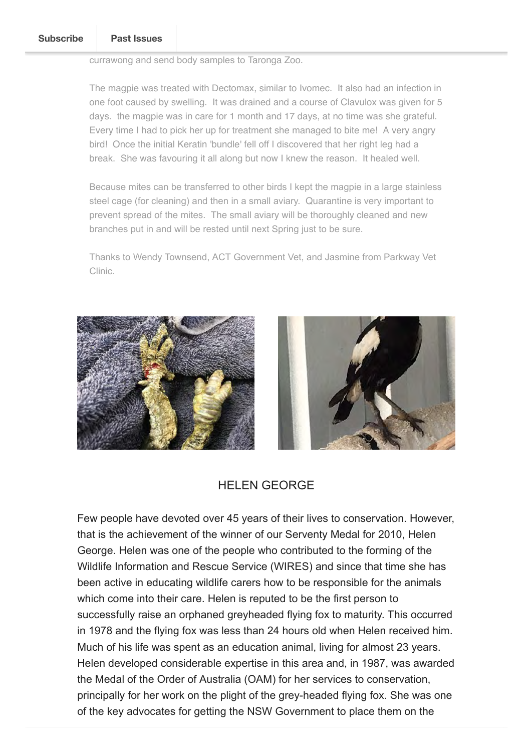currawong and send body samples to Taronga Zoo.

The magpie was treated with Dectomax, similar to Ivomec. It also had an infection in one foot caused by swelling. It was drained and a course of Clavulox was given for 5 days. the magpie was in care for 1 month and 17 days, at no time was she grateful. Every time I had to pick her up for treatment she managed to bite me! A very angry bird! Once the initial Keratin 'bundle' fell off I discovered that her right leg had a break. She was favouring it all along but now I knew the reason. It healed well.

Because mites can be transferred to other birds I kept the magpie in a large stainless steel cage (for cleaning) and then in a small aviary. Quarantine is very important to prevent spread of the mites. The small aviary will be thoroughly cleaned and new branches put in and will be rested until next Spring just to be sure.

Thanks to Wendy Townsend, ACT Government Vet, and Jasmine from Parkway Vet Clinic.





## HELEN GEORGE

Few people have devoted over 45 years of their lives to conservation. However, that is the achievement of the winner of our Serventy Medal for 2010, Helen George. Helen was one of the people who contributed to the forming of the Wildlife Information and Rescue Service (WIRES) and since that time she has been active in educating wildlife carers how to be responsible for the animals which come into their care. Helen is reputed to be the first person to successfully raise an orphaned greyheaded flying fox to maturity. This occurred in 1978 and the flying fox was less than 24 hours old when Helen received him. Much of his life was spent as an education animal, living for almost 23 years. Helen developed considerable expertise in this area and, in 1987, was awarded the Medal of the Order of Australia (OAM) for her services to conservation, principally for her work on the plight of the grey-headed flying fox. She was one of the key advocates for getting the NSW Government to place them on the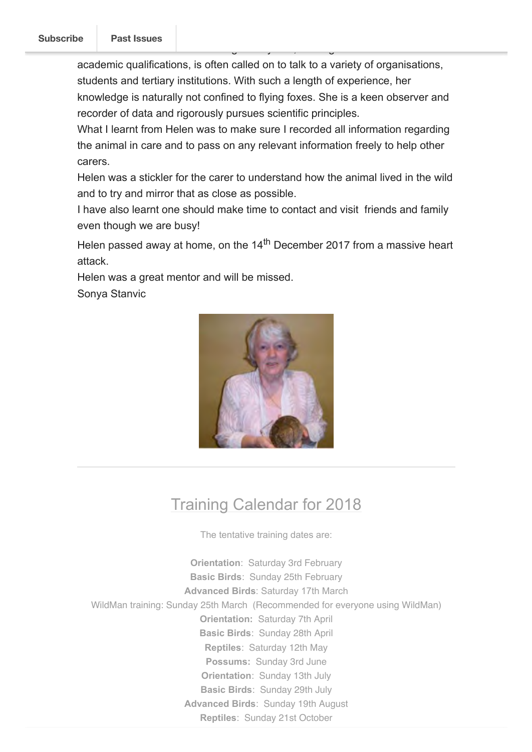academic qualifications, is often called on to talk to a variety of organisations, students and tertiary institutions. With such a length of experience, her knowledge is naturally not confined to flying foxes. She is a keen observer and recorder of data and rigorously pursues scientific principles.

NSW. Helen shares her knowledge freely and, although she has no formal

What I learnt from Helen was to make sure I recorded all information regarding the animal in care and to pass on any relevant information freely to help other carers.

Helen was a stickler for the carer to understand how the animal lived in the wild and to try and mirror that as close as possible.

I have also learnt one should make time to contact and visit friends and family even though we are busy!

Helen passed away at home, on the  $14<sup>th</sup>$  December 2017 from a massive heart attack.

Helen was a great mentor and will be missed.

Sonya Stanvic



# Training Calendar for 2018

The tentative training dates are:

**Orientation**: Saturday 3rd February **Basic Birds**: Sunday 25th February **Advanced Birds**: Saturday 17th March WildMan training: Sunday 25th March (Recommended for everyone using WildMan) **Orientation:** Saturday 7th April **Basic Birds**: Sunday 28th April **Reptiles**: Saturday 12th May **Possums:** Sunday 3rd June **Orientation**: Sunday 13th July **Basic Birds**: Sunday 29th July **Advanced Birds**: Sunday 19th August **Reptiles**: Sunday 21st October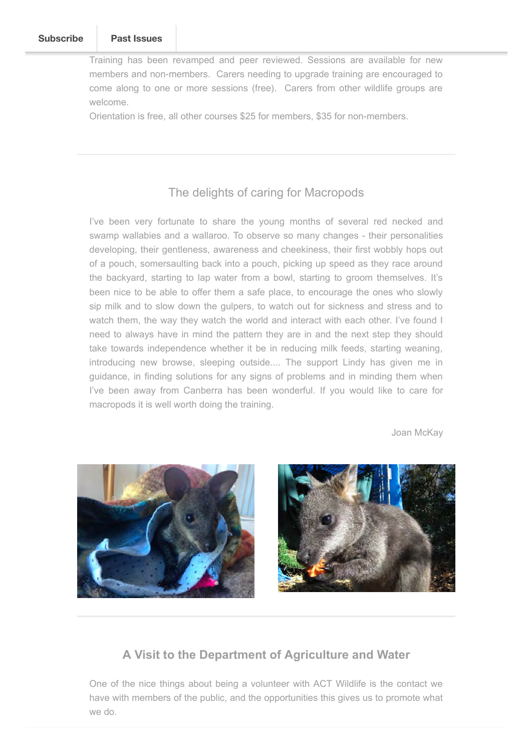Training has been revamped and peer reviewed. Sessions are available for new members and non-members. Carers needing to upgrade training are encouraged to come along to one or more sessions (free). Carers from other wildlife groups are welcome.

Orientation is free, all other courses \$25 for members, \$35 for non-members.

## The delights of caring for Macropods

I've been very fortunate to share the young months of several red necked and swamp wallabies and a wallaroo. To observe so many changes - their personalities developing, their gentleness, awareness and cheekiness, their first wobbly hops out of a pouch, somersaulting back into a pouch, picking up speed as they race around the backyard, starting to lap water from a bowl, starting to groom themselves. It's been nice to be able to offer them a safe place, to encourage the ones who slowly sip milk and to slow down the gulpers, to watch out for sickness and stress and to watch them, the way they watch the world and interact with each other. I've found I need to always have in mind the pattern they are in and the next step they should take towards independence whether it be in reducing milk feeds, starting weaning, introducing new browse, sleeping outside.... The support Lindy has given me in guidance, in finding solutions for any signs of problems and in minding them when I've been away from Canberra has been wonderful. If you would like to care for macropods it is well worth doing the training.

Joan McKay



## **A Visit to the Department of Agriculture and Water**

One of the nice things about being a volunteer with ACT Wildlife is the contact we have with members of the public, and the opportunities this gives us to promote what we do.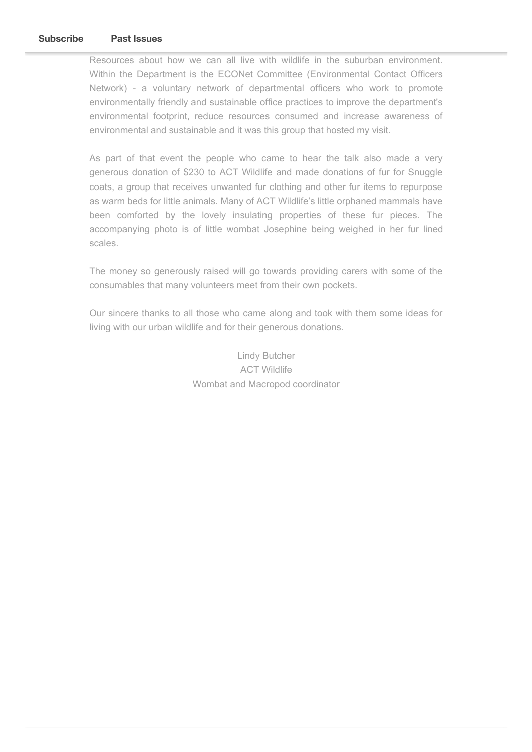Resources about how we can all live with wildlife in the suburban environment. Within the Department is the ECONet Committee (Environmental Contact Officers Network) - a voluntary network of departmental officers who work to promote environmentally friendly and sustainable office practices to improve the department's environmental footprint, reduce resources consumed and increase awareness of environmental and sustainable and it was this group that hosted my visit.

As part of that event the people who came to hear the talk also made a very generous donation of \$230 to ACT Wildlife and made donations of fur for Snuggle coats, a group that receives unwanted fur clothing and other fur items to repurpose as warm beds for little animals. Many of ACT Wildlife's little orphaned mammals have been comforted by the lovely insulating properties of these fur pieces. The accompanying photo is of little wombat Josephine being weighed in her fur lined scales.

The money so generously raised will go towards providing carers with some of the consumables that many volunteers meet from their own pockets.

Our sincere thanks to all those who came along and took with them some ideas for living with our urban wildlife and for their generous donations.

> Lindy Butcher ACT Wildlife Wombat and Macropod coordinator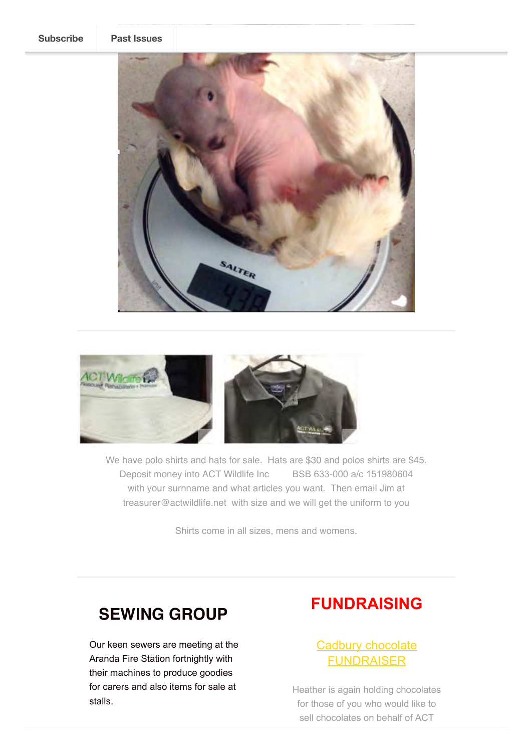



We have polo shirts and hats for sale. Hats are \$30 and polos shirts are \$45. Deposit money into ACT Wildlife Inc BSB 633-000 a/c 151980604 with your surnname and what articles you want. Then email Jim at treasurer@actwildlife.net with size and we will get the uniform to you

Shirts come in all sizes, mens and womens.

# **SEWING GROUP**

Our keen sewers are meeting at the Aranda Fire Station fortnightly with their machines to produce goodies for carers and also items for sale at stalls.

## **FUNDRAISING**

## Cadbury chocolate FUNDRAISER

Heather is again holding chocolates for those of you who would like to sell chocolates on behalf of ACT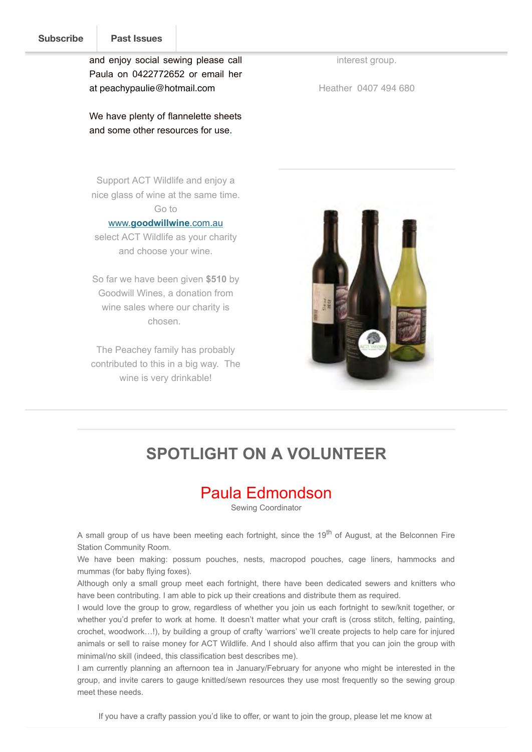and enjoy social sewing please call Paula on 0422772652 or email her at peachypaulie@hotmail.com

We have plenty of flannelette sheets and some other resources for use.

Support ACT Wildlife and enjoy a nice glass of wine at the same time. Go to

#### www.**[goodwillwine](http://www.goodwillwine.com.au/)**.com.au

select ACT Wildlife as your charity and choose your wine.

So far we have been given **\$510** by Goodwill Wines, a donation from wine sales where our charity is chosen.

The Peachey family has probably contributed to this in a big way. The wine is very drinkable!

interest group.

Heather 0407 494 680



## **SPOTLIGHT ON A VOLUNTEER**

## Paula Edmondson

Sewing Coordinator

A small group of us have been meeting each fortnight, since the 19<sup>th</sup> of August, at the Belconnen Fire Station Community Room.

We have been making: possum pouches, nests, macropod pouches, cage liners, hammocks and mummas (for baby flying foxes).

Although only a small group meet each fortnight, there have been dedicated sewers and knitters who have been contributing. I am able to pick up their creations and distribute them as required.

I would love the group to grow, regardless of whether you join us each fortnight to sew/knit together, or whether you'd prefer to work at home. It doesn't matter what your craft is (cross stitch, felting, painting, crochet, woodwork…!), by building a group of crafty 'warriors' we'll create projects to help care for injured animals or sell to raise money for ACT Wildlife. And I should also affirm that you can join the group with minimal/no skill (indeed, this classification best describes me).

I am currently planning an afternoon tea in January/February for anyone who might be interested in the group, and invite carers to gauge knitted/sewn resources they use most frequently so the sewing group meet these needs.

If you have a crafty passion you'd like to offer, or want to join the group, please let me know at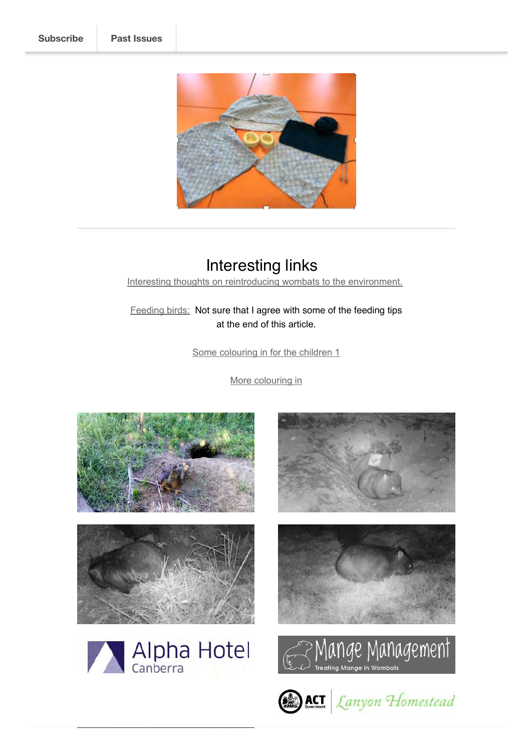

# Interesting links

[Interesting thoughts on reintroducing wombats to the environment.](http://www.abc.net.au/news/2017-11-30/mulgoa-wombats-rewilding-bush-environment-native-animals-nature/9208404)

[Feeding birds:](https://www.theguardian.com/environment/2017/dec/09/feed-the-birds-stop-the-demonising-and-tell-us-how-to-do-it-properly?CMP=share_btn_fb) Not sure that I agree with some of the feeding tips at the end of this article.

[Some colouring in for the children 1](https://www.bushheritage.org.au/getattachment/get-involved/resources/colouring-sheets/tas-colouring.pdf?lang=en-AU)

[More colouring in](https://www.bushheritage.org.au/getattachment/news/colouring-sheets/bon-bon-colouring.pdf?lang=en-AU)













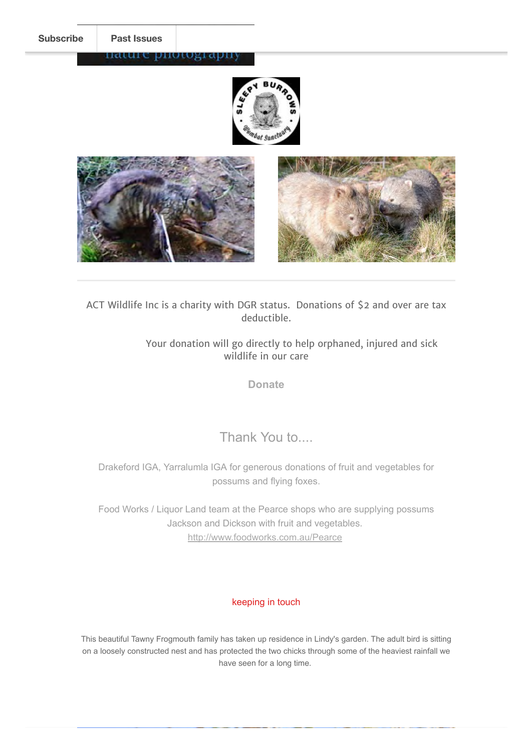#### nature photograpi





ACT Wildlife Inc is a charity with DGR status. Donations of \$2 and over are tax deductible.

> Your donation will go directly to help orphaned, injured and sick wildlife in our care

> > **[Donate](http://actwildlife.net/donation-info.html)**

Thank You to....

Drakeford IGA, Yarralumla IGA for generous donations of fruit and vegetables for possums and flying foxes.

Food Works / Liquor Land team at the Pearce shops who are supplying possums Jackson and Dickson with fruit and vegetables. <http://www.foodworks.com.au/Pearce>

### keeping in touch

This beautiful Tawny Frogmouth family has taken up residence in Lindy's garden. The adult bird is sitting on a loosely constructed nest and has protected the two chicks through some of the heaviest rainfall we have seen for a long time.